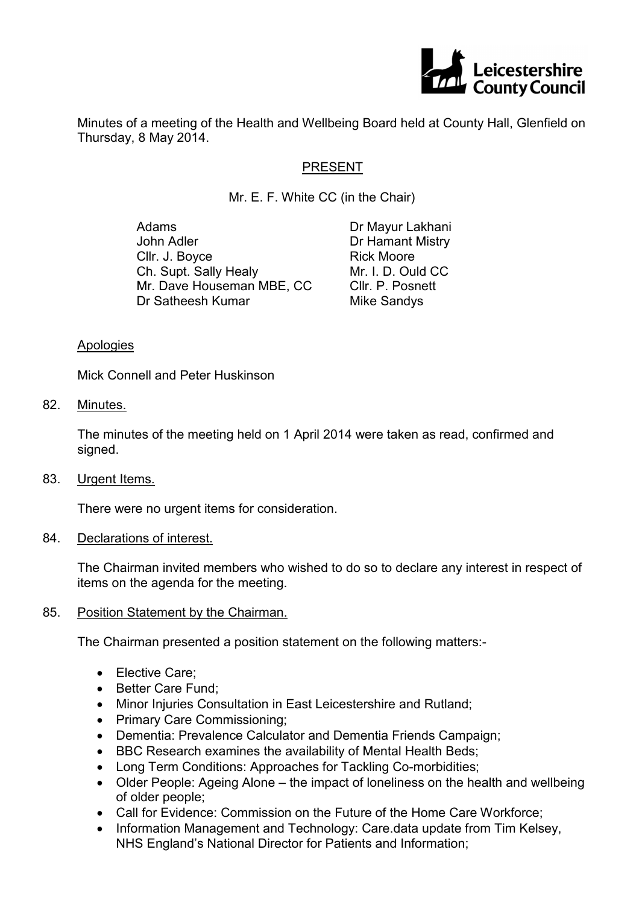

Minutes of a meeting of the Health and Wellbeing Board held at County Hall, Glenfield on Thursday, 8 May 2014.

# PRESENT

Mr. E. F. White CC (in the Chair)

Adams John Adler Cllr. J. Boyce Ch. Supt. Sally Healy Mr. Dave Houseman MBE, CC Dr Satheesh Kumar

Dr Mayur Lakhani Dr Hamant Mistry Rick Moore Mr. I. D. Ould CC Cllr. P. Posnett Mike Sandys

#### Apologies

Mick Connell and Peter Huskinson

82. Minutes.

The minutes of the meeting held on 1 April 2014 were taken as read, confirmed and signed.

83. Urgent Items.

There were no urgent items for consideration.

### 84. Declarations of interest.

The Chairman invited members who wished to do so to declare any interest in respect of items on the agenda for the meeting.

### 85. Position Statement by the Chairman.

The Chairman presented a position statement on the following matters:-

- Elective Care:
- Better Care Fund:
- Minor Injuries Consultation in East Leicestershire and Rutland;
- Primary Care Commissioning;
- Dementia: Prevalence Calculator and Dementia Friends Campaign;
- BBC Research examines the availability of Mental Health Beds;
- Long Term Conditions: Approaches for Tackling Co-morbidities;
- Older People: Ageing Alone the impact of loneliness on the health and wellbeing of older people;
- Call for Evidence: Commission on the Future of the Home Care Workforce;
- Information Management and Technology: Care.data update from Tim Kelsey, NHS England's National Director for Patients and Information;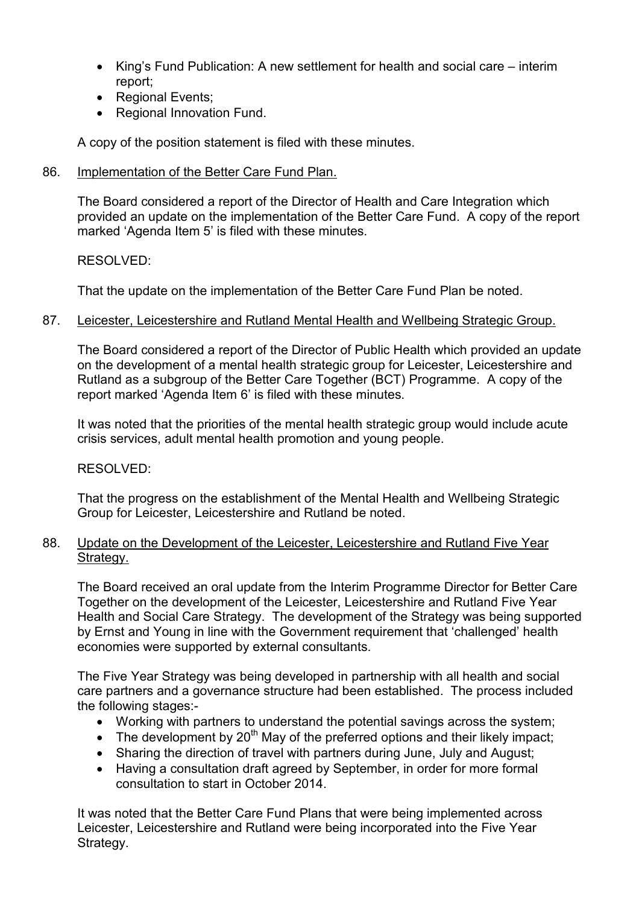- King's Fund Publication: A new settlement for health and social care interim report;
- Regional Events;
- Regional Innovation Fund.

A copy of the position statement is filed with these minutes.

86. Implementation of the Better Care Fund Plan.

The Board considered a report of the Director of Health and Care Integration which provided an update on the implementation of the Better Care Fund. A copy of the report marked 'Agenda Item 5' is filed with these minutes.

RESOLVED:

That the update on the implementation of the Better Care Fund Plan be noted.

### 87. Leicester, Leicestershire and Rutland Mental Health and Wellbeing Strategic Group.

The Board considered a report of the Director of Public Health which provided an update on the development of a mental health strategic group for Leicester, Leicestershire and Rutland as a subgroup of the Better Care Together (BCT) Programme. A copy of the report marked 'Agenda Item 6' is filed with these minutes.

It was noted that the priorities of the mental health strategic group would include acute crisis services, adult mental health promotion and young people.

RESOLVED:

That the progress on the establishment of the Mental Health and Wellbeing Strategic Group for Leicester, Leicestershire and Rutland be noted.

### 88. Update on the Development of the Leicester, Leicestershire and Rutland Five Year Strategy.

The Board received an oral update from the Interim Programme Director for Better Care Together on the development of the Leicester, Leicestershire and Rutland Five Year Health and Social Care Strategy. The development of the Strategy was being supported by Ernst and Young in line with the Government requirement that 'challenged' health economies were supported by external consultants.

The Five Year Strategy was being developed in partnership with all health and social care partners and a governance structure had been established. The process included the following stages:-

- Working with partners to understand the potential savings across the system;
- The development by  $20<sup>th</sup>$  May of the preferred options and their likely impact:
- Sharing the direction of travel with partners during June, July and August;
- Having a consultation draft agreed by September, in order for more formal consultation to start in October 2014.

It was noted that the Better Care Fund Plans that were being implemented across Leicester, Leicestershire and Rutland were being incorporated into the Five Year Strategy.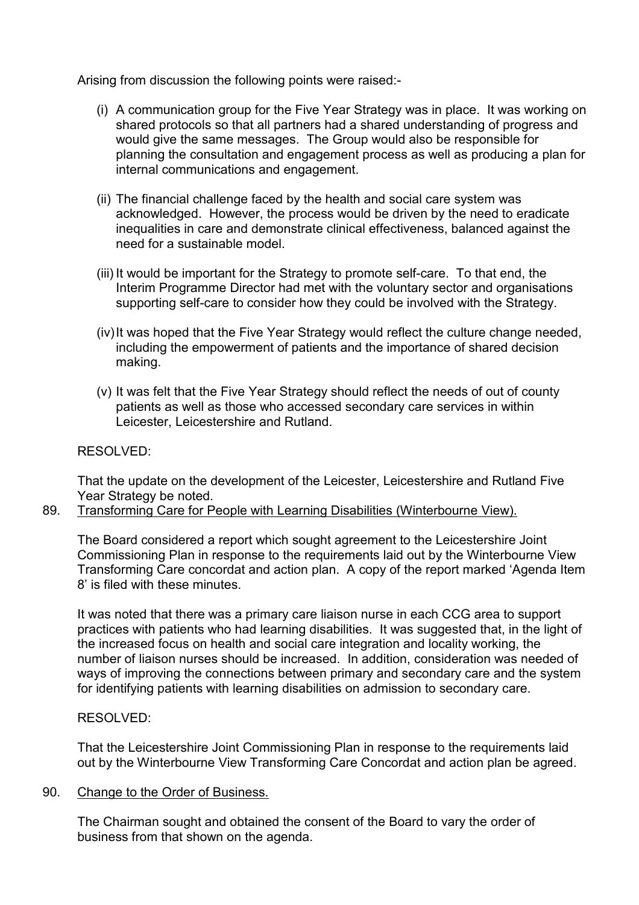Arising from discussion the following points were raised:-

- (i) A communication group for the Five Year Strategy was in place. It was working on shared protocols so that all partners had a shared understanding of progress and would give the same messages. The Group would also be responsible for planning the consultation and engagement process as well as producing a plan for internal communications and engagement.
- (ii) The financial challenge faced by the health and social care system was acknowledged. However, the process would be driven by the need to eradicate inequalities in care and demonstrate clinical effectiveness, balanced against the need for a sustainable model.
- (iii) It would be important for the Strategy to promote self-care. To that end, the Interim Programme Director had met with the voluntary sector and organisations supporting self-care to consider how they could be involved with the Strategy.
- (iv) It was hoped that the Five Year Strategy would reflect the culture change needed, including the empowerment of patients and the importance of shared decision making.
- (v) It was felt that the Five Year Strategy should reflect the needs of out of county patients as well as those who accessed secondary care services in within Leicester, Leicestershire and Rutland.

# RESOLVED:

That the update on the development of the Leicester, Leicestershire and Rutland Five Year Strategy be noted.

89. Transforming Care for People with Learning Disabilities (Winterbourne View).

The Board considered a report which sought agreement to the Leicestershire Joint Commissioning Plan in response to the requirements laid out by the Winterbourne View Transforming Care concordat and action plan. A copy of the report marked 'Agenda Item 8' is filed with these minutes.

It was noted that there was a primary care liaison nurse in each CCG area to support practices with patients who had learning disabilities. It was suggested that, in the light of the increased focus on health and social care integration and locality working, the number of liaison nurses should be increased. In addition, consideration was needed of ways of improving the connections between primary and secondary care and the system for identifying patients with learning disabilities on admission to secondary care.

# RESOLVED:

That the Leicestershire Joint Commissioning Plan in response to the requirements laid out by the Winterbourne View Transforming Care Concordat and action plan be agreed.

### 90. Change to the Order of Business.

The Chairman sought and obtained the consent of the Board to vary the order of business from that shown on the agenda.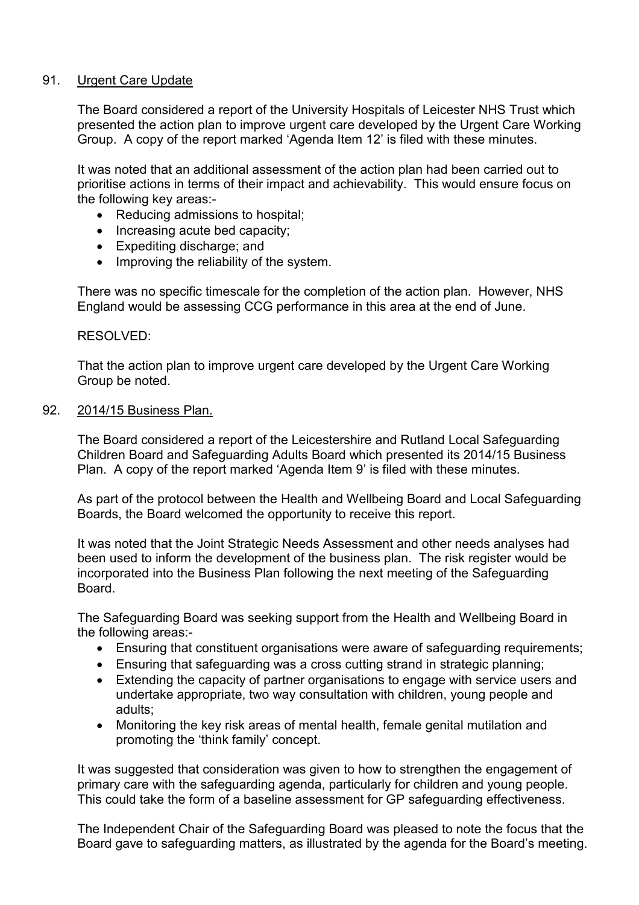## 91. Urgent Care Update

The Board considered a report of the University Hospitals of Leicester NHS Trust which presented the action plan to improve urgent care developed by the Urgent Care Working Group. A copy of the report marked 'Agenda Item 12' is filed with these minutes.

It was noted that an additional assessment of the action plan had been carried out to prioritise actions in terms of their impact and achievability. This would ensure focus on the following key areas:-

- Reducing admissions to hospital;
- Increasing acute bed capacity:
- Expediting discharge; and
- Improving the reliability of the system.

There was no specific timescale for the completion of the action plan. However, NHS England would be assessing CCG performance in this area at the end of June.

#### RESOLVED:

That the action plan to improve urgent care developed by the Urgent Care Working Group be noted.

#### 92. 2014/15 Business Plan.

The Board considered a report of the Leicestershire and Rutland Local Safeguarding Children Board and Safeguarding Adults Board which presented its 2014/15 Business Plan. A copy of the report marked 'Agenda Item 9' is filed with these minutes.

As part of the protocol between the Health and Wellbeing Board and Local Safeguarding Boards, the Board welcomed the opportunity to receive this report.

It was noted that the Joint Strategic Needs Assessment and other needs analyses had been used to inform the development of the business plan. The risk register would be incorporated into the Business Plan following the next meeting of the Safeguarding Board.

The Safeguarding Board was seeking support from the Health and Wellbeing Board in the following areas:-

- Ensuring that constituent organisations were aware of safeguarding requirements;
- Ensuring that safeguarding was a cross cutting strand in strategic planning;
- Extending the capacity of partner organisations to engage with service users and undertake appropriate, two way consultation with children, young people and adults;
- Monitoring the key risk areas of mental health, female genital mutilation and promoting the 'think family' concept.

It was suggested that consideration was given to how to strengthen the engagement of primary care with the safeguarding agenda, particularly for children and young people. This could take the form of a baseline assessment for GP safeguarding effectiveness.

The Independent Chair of the Safeguarding Board was pleased to note the focus that the Board gave to safeguarding matters, as illustrated by the agenda for the Board's meeting.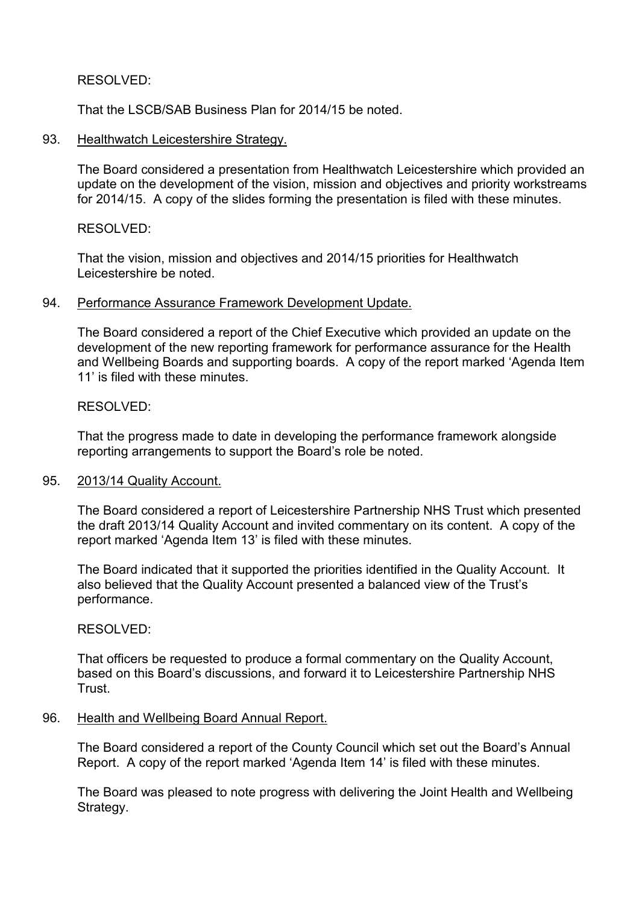## RESOLVED:

That the LSCB/SAB Business Plan for 2014/15 be noted.

### 93. Healthwatch Leicestershire Strategy.

The Board considered a presentation from Healthwatch Leicestershire which provided an update on the development of the vision, mission and objectives and priority workstreams for 2014/15. A copy of the slides forming the presentation is filed with these minutes.

### RESOLVED:

That the vision, mission and objectives and 2014/15 priorities for Healthwatch Leicestershire be noted.

#### 94. Performance Assurance Framework Development Update.

The Board considered a report of the Chief Executive which provided an update on the development of the new reporting framework for performance assurance for the Health and Wellbeing Boards and supporting boards. A copy of the report marked 'Agenda Item 11' is filed with these minutes

### RESOLVED:

That the progress made to date in developing the performance framework alongside reporting arrangements to support the Board's role be noted.

#### 95. 2013/14 Quality Account.

The Board considered a report of Leicestershire Partnership NHS Trust which presented the draft 2013/14 Quality Account and invited commentary on its content. A copy of the report marked 'Agenda Item 13' is filed with these minutes.

The Board indicated that it supported the priorities identified in the Quality Account. It also believed that the Quality Account presented a balanced view of the Trust's performance.

## RESOLVED:

That officers be requested to produce a formal commentary on the Quality Account, based on this Board's discussions, and forward it to Leicestershire Partnership NHS Trust.

#### 96. Health and Wellbeing Board Annual Report.

The Board considered a report of the County Council which set out the Board's Annual Report. A copy of the report marked 'Agenda Item 14' is filed with these minutes.

The Board was pleased to note progress with delivering the Joint Health and Wellbeing Strategy.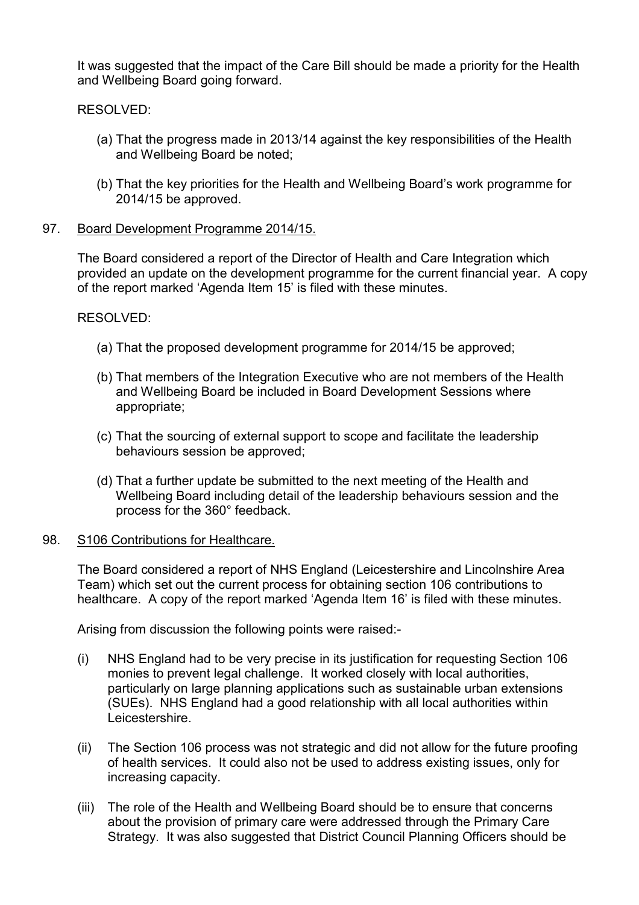It was suggested that the impact of the Care Bill should be made a priority for the Health and Wellbeing Board going forward.

RESOLVED:

- (a) That the progress made in 2013/14 against the key responsibilities of the Health and Wellbeing Board be noted;
- (b) That the key priorities for the Health and Wellbeing Board's work programme for 2014/15 be approved.

### 97. Board Development Programme 2014/15.

The Board considered a report of the Director of Health and Care Integration which provided an update on the development programme for the current financial year. A copy of the report marked 'Agenda Item 15' is filed with these minutes.

RESOLVED:

- (a) That the proposed development programme for 2014/15 be approved;
- (b) That members of the Integration Executive who are not members of the Health and Wellbeing Board be included in Board Development Sessions where appropriate;
- (c) That the sourcing of external support to scope and facilitate the leadership behaviours session be approved;
- (d) That a further update be submitted to the next meeting of the Health and Wellbeing Board including detail of the leadership behaviours session and the process for the 360° feedback.

#### 98. S106 Contributions for Healthcare.

The Board considered a report of NHS England (Leicestershire and Lincolnshire Area Team) which set out the current process for obtaining section 106 contributions to healthcare. A copy of the report marked 'Agenda Item 16' is filed with these minutes.

Arising from discussion the following points were raised:-

- (i) NHS England had to be very precise in its justification for requesting Section 106 monies to prevent legal challenge. It worked closely with local authorities, particularly on large planning applications such as sustainable urban extensions (SUEs). NHS England had a good relationship with all local authorities within Leicestershire.
- (ii) The Section 106 process was not strategic and did not allow for the future proofing of health services. It could also not be used to address existing issues, only for increasing capacity.
- (iii) The role of the Health and Wellbeing Board should be to ensure that concerns about the provision of primary care were addressed through the Primary Care Strategy. It was also suggested that District Council Planning Officers should be